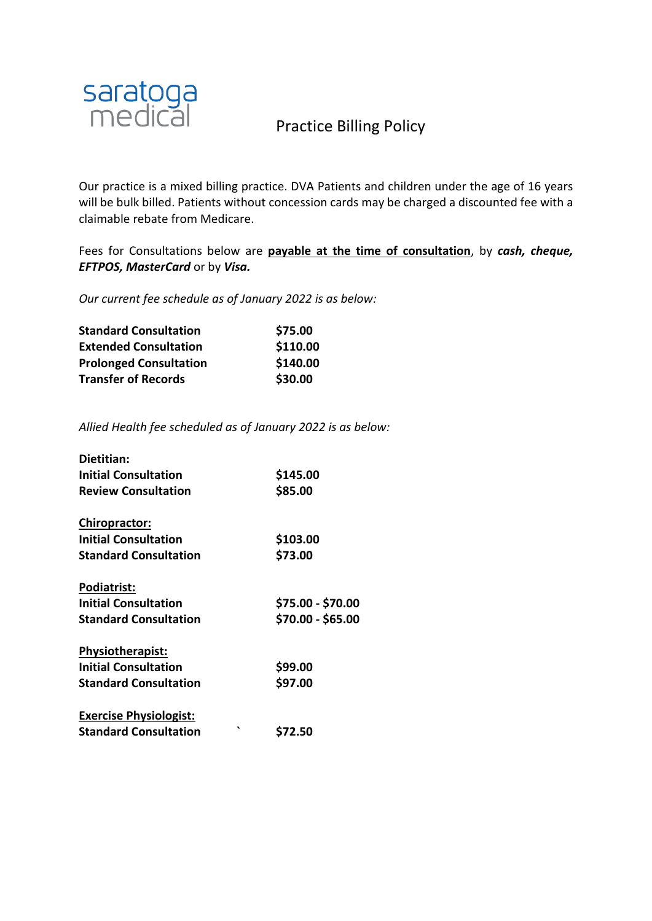

Our practice is a mixed billing practice. DVA Patients and children under the age of 16 years will be bulk billed. Patients without concession cards may be charged a discounted fee with a claimable rebate from Medicare.

Fees for Consultations below are **payable at the time of consultation**, by *cash, cheque, EFTPOS, MasterCard* or by *Visa.*

*Our current fee schedule as of January 2022 is as below:*

| <b>Standard Consultation</b>  | \$75.00  |
|-------------------------------|----------|
| <b>Extended Consultation</b>  | \$110.00 |
| <b>Prolonged Consultation</b> | \$140.00 |
| <b>Transfer of Records</b>    | \$30.00  |

*Allied Health fee scheduled as of January 2022 is as below:*

| Dietitian:                    |                   |
|-------------------------------|-------------------|
| <b>Initial Consultation</b>   | \$145.00          |
| <b>Review Consultation</b>    | \$85.00           |
| <b>Chiropractor:</b>          |                   |
| <b>Initial Consultation</b>   | \$103.00          |
| <b>Standard Consultation</b>  | \$73.00           |
| <b>Podiatrist:</b>            |                   |
| <b>Initial Consultation</b>   | \$75.00 - \$70.00 |
| <b>Standard Consultation</b>  | \$70.00 - \$65.00 |
| <b>Physiotherapist:</b>       |                   |
| <b>Initial Consultation</b>   | \$99.00           |
| <b>Standard Consultation</b>  | \$97.00           |
| <b>Exercise Physiologist:</b> |                   |
| <b>Standard Consultation</b>  | ◥<br>\$72.50      |
|                               |                   |